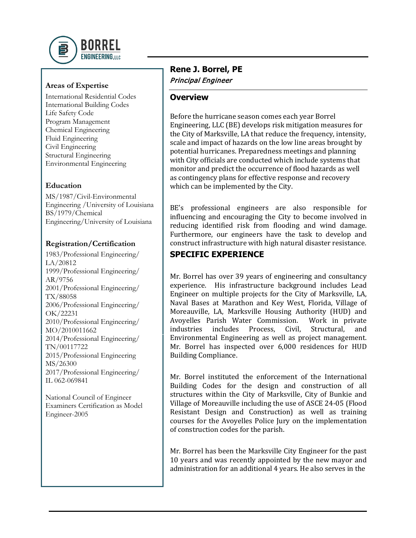

### **Areas of Expertise**

International Residential Codes International Building Codes Life Safety Code Program Management Chemical Engineering Fluid Engineering Civil Engineering Structural Engineering Environmental Engineering

## **Education**

MS/1987/Civil-Environmental Engineering /University of Louisiana BS/1979/Chemical Engineering/University of Louisiana

#### **Registration/Certification**

1983/Professional Engineering/ LA/20812 1999/Professional Engineering/ AR/9756 2001/Professional Engineering/ TX/88058 2006/Professional Engineering/ OK/22231 2010/Professional Engineering/ MO/2010011662 2014/Professional Engineering/ TN/00117722 2015/Professional Engineering MS/26300 2017/Professional Engineering/ IL 062-069841

National Council of Engineer Examiners Certification as Model Engineer-2005

# **Rene J. Borrel, PE** Principal Engineer

#### **Overview**

Before the hurricane season comes each year Borrel Engineering, LLC (BE) develops risk mitigation measures for the City of Marksville, LA that reduce the frequency, intensity, scale and impact of hazards on the low line areas brought by potential hurricanes. Preparedness meetings and planning with City officials are conducted which include systems that monitor and predict the occurrence of flood hazards as well as contingency plans for effective response and recovery which can be implemented by the City.

BE's professional engineers are also responsible for influencing and encouraging the City to become involved in reducing identified risk from flooding and wind damage. Furthermore, our engineers have the task to develop and construct infrastructure with high natural disaster resistance.

# **SPECIFIC EXPERIENCE**

Mr. Borrel has over 39 years of engineering and consultancy experience. His infrastructure background includes Lead Engineer on multiple projects for the City of Marksville, LA, Naval Bases at Marathon and Key West, Florida, Village of Moreauville, LA, Marksville Housing Authority (HUD) and<br>Avovelles Parish Water Commission. Work in private Avoyelles Parish Water Commission. Work in private industries includes Process, Civil, Structural, and industries includes Environmental Engineering as well as project management. Mr. Borrel has inspected over 6,000 residences for HUD Building Compliance.

Mr. Borrel instituted the enforcement of the International Building Codes for the design and construction of all structures within the City of Marksville, City of Bunkie and Village of Moreauville including the use of ASCE 24-05 (Flood Resistant Design and Construction) as well as training courses for the Avoyelles Police Jury on the implementation of construction codes for the parish.

Mr. Borrel has been the Marksville City Engineer for the past 10 years and was recently appointed by the new mayor and administration for an additional 4 years. He also serves in the